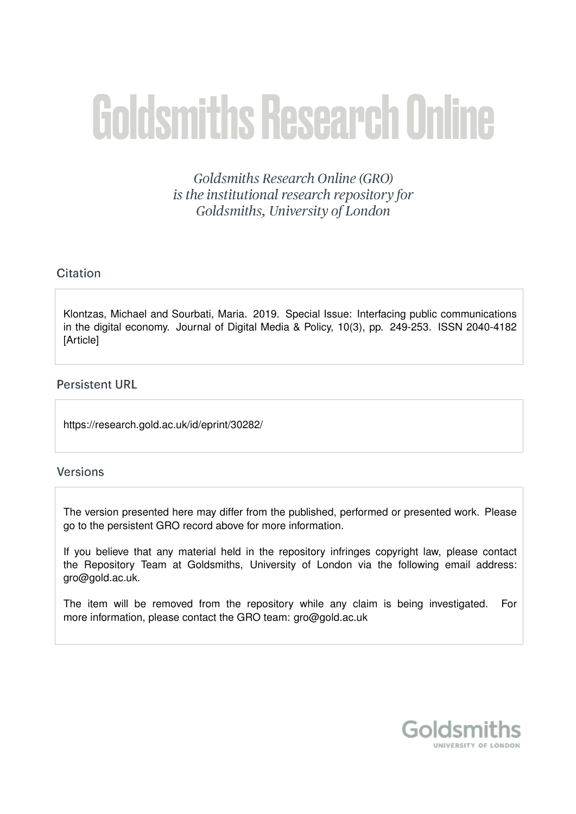# **Goldsmiths Research Online**

Goldsmiths Research Online (GRO) is the institutional research repository for Goldsmiths, University of London

# Citation

Klontzas, Michael and Sourbati, Maria. 2019. Special Issue: Interfacing public communications in the digital economy. Journal of Digital Media & Policy, 10(3), pp. 249-253. ISSN 2040-4182 **[Article]** 

# **Persistent URL**

https://research.gold.ac.uk/id/eprint/30282/

## **Versions**

The version presented here may differ from the published, performed or presented work. Please go to the persistent GRO record above for more information.

If you believe that any material held in the repository infringes copyright law, please contact the Repository Team at Goldsmiths, University of London via the following email address: gro@gold.ac.uk.

The item will be removed from the repository while any claim is being investigated. For more information, please contact the GRO team: gro@gold.ac.uk

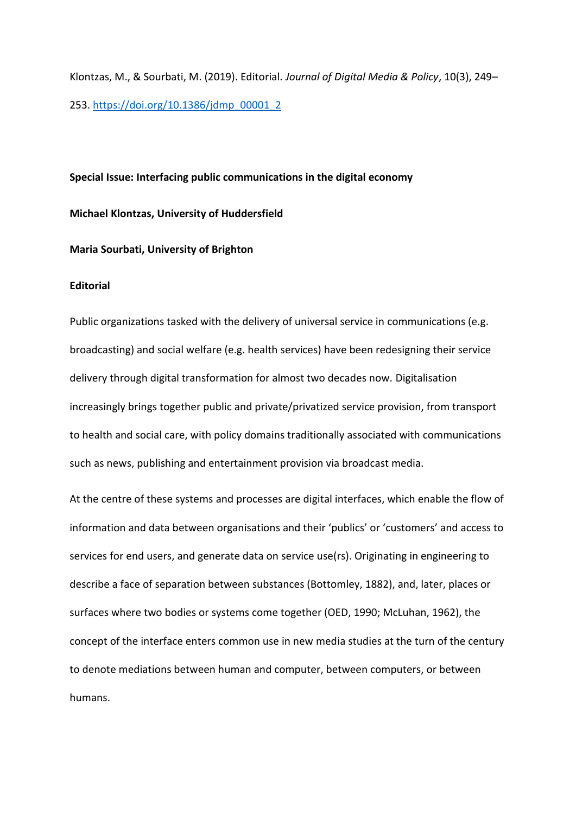Klontzas, M., & Sourbati, M. (2019). Editorial. *Journal of Digital Media & Policy*, 10(3), 249– 253. [https://doi.org/10.1386/jdmp\\_00001\\_2](https://doi.org/10.1386/jdmp_00001_2)

## **Special Issue: Interfacing public communications in the digital economy**

#### **Michael Klontzas, University of Huddersfield**

#### **Maria Sourbati, University of Brighton**

#### **Editorial**

Public organizations tasked with the delivery of universal service in communications (e.g. broadcasting) and social welfare (e.g. health services) have been redesigning their service delivery through digital transformation for almost two decades now. Digitalisation increasingly brings together public and private/privatized service provision, from transport to health and social care, with policy domains traditionally associated with communications such as news, publishing and entertainment provision via broadcast media.

At the centre of these systems and processes are digital interfaces, which enable the flow of information and data between organisations and their 'publics' or 'customers' and access to services for end users, and generate data on service use(rs). Originating in engineering to describe a face of separation between substances (Bottomley, 1882), and, later, places or surfaces where two bodies or systems come together (OED, 1990; McLuhan, 1962), the concept of the interface enters common use in new media studies at the turn of the century to denote mediations between human and computer, between computers, or between humans.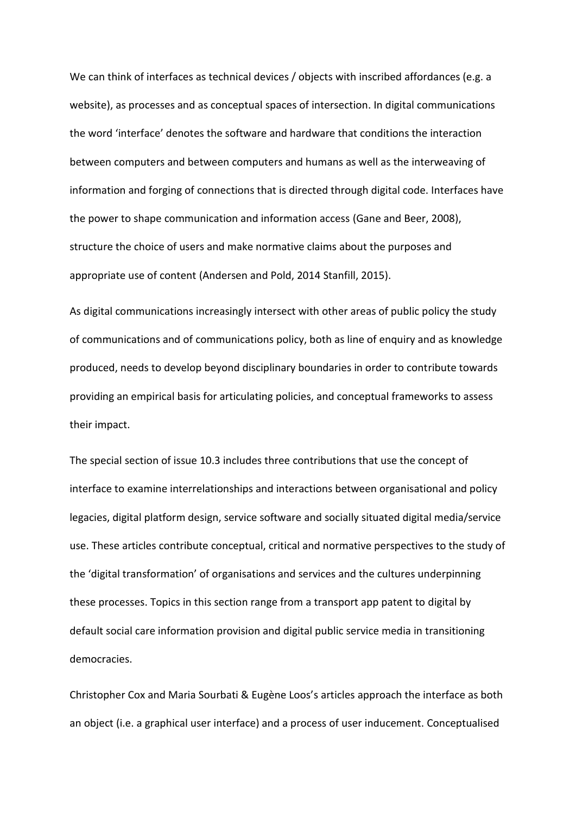We can think of interfaces as technical devices / objects with inscribed affordances (e.g. a website), as processes and as conceptual spaces of intersection. In digital communications the word 'interface' denotes the software and hardware that conditions the interaction between computers and between computers and humans as well as the interweaving of information and forging of connections that is directed through digital code. Interfaces have the power to shape communication and information access (Gane and Beer, 2008), structure the choice of users and make normative claims about the purposes and appropriate use of content (Andersen and Pold, 2014 Stanfill, 2015).

As digital communications increasingly intersect with other areas of public policy the study of communications and of communications policy, both as line of enquiry and as knowledge produced, needs to develop beyond disciplinary boundaries in order to contribute towards providing an empirical basis for articulating policies, and conceptual frameworks to assess their impact.

The special section of issue 10.3 includes three contributions that use the concept of interface to examine interrelationships and interactions between organisational and policy legacies, digital platform design, service software and socially situated digital media/service use. These articles contribute conceptual, critical and normative perspectives to the study of the 'digital transformation' of organisations and services and the cultures underpinning these processes. Topics in this section range from a transport app patent to digital by default social care information provision and digital public service media in transitioning democracies.

Christopher Cox and Maria Sourbati & Eugène Loos's articles approach the interface as both an object (i.e. a graphical user interface) and a process of user inducement. Conceptualised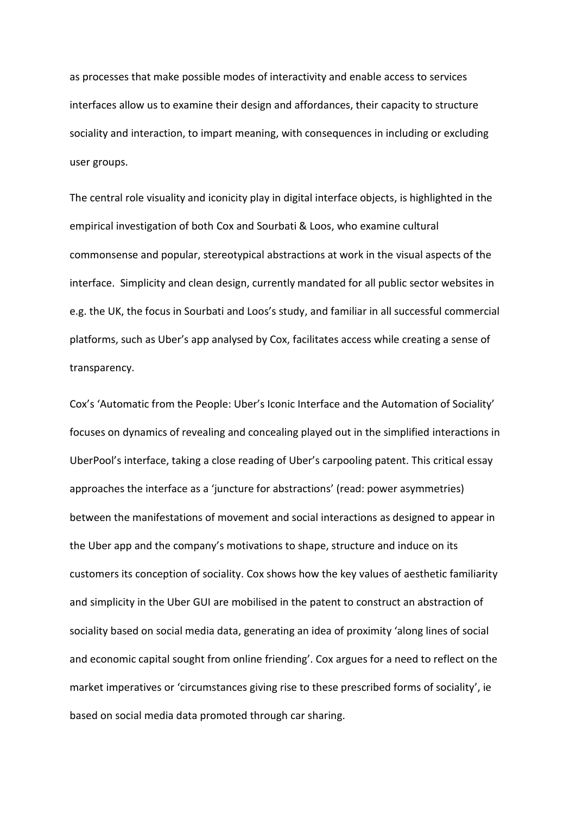as processes that make possible modes of interactivity and enable access to services interfaces allow us to examine their design and affordances, their capacity to structure sociality and interaction, to impart meaning, with consequences in including or excluding user groups.

The central role visuality and iconicity play in digital interface objects, is highlighted in the empirical investigation of both Cox and Sourbati & Loos, who examine cultural commonsense and popular, stereotypical abstractions at work in the visual aspects of the interface. Simplicity and clean design, currently mandated for all public sector websites in e.g. the UK, the focus in Sourbati and Loos's study, and familiar in all successful commercial platforms, such as Uber's app analysed by Cox, facilitates access while creating a sense of transparency.

Cox's 'Automatic from the People: Uber's Iconic Interface and the Automation of Sociality' focuses on dynamics of revealing and concealing played out in the simplified interactions in UberPool's interface, taking a close reading of Uber's carpooling patent. This critical essay approaches the interface as a 'juncture for abstractions' (read: power asymmetries) between the manifestations of movement and social interactions as designed to appear in the Uber app and the company's motivations to shape, structure and induce on its customers its conception of sociality. Cox shows how the key values of aesthetic familiarity and simplicity in the Uber GUI are mobilised in the patent to construct an abstraction of sociality based on social media data, generating an idea of proximity 'along lines of social and economic capital sought from online friending'. Cox argues for a need to reflect on the market imperatives or 'circumstances giving rise to these prescribed forms of sociality', ie based on social media data promoted through car sharing.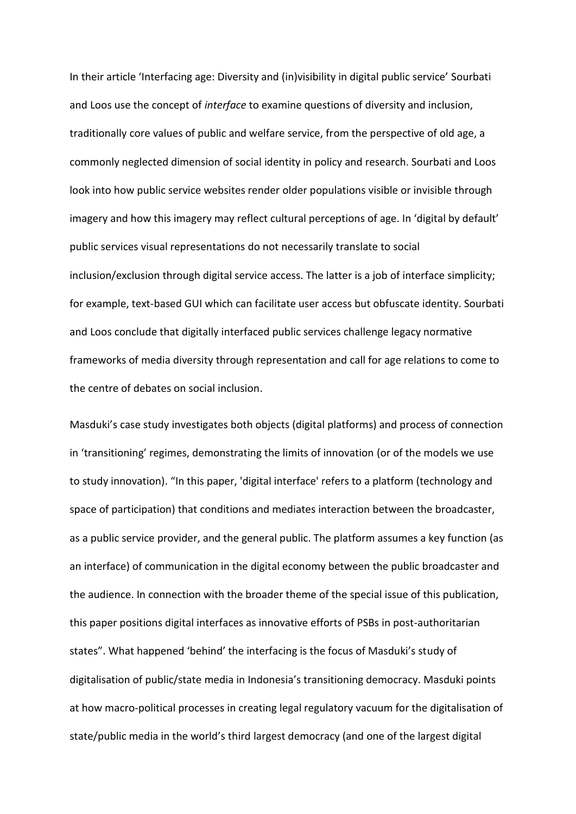In their article 'Interfacing age: Diversity and (in)visibility in digital public service' Sourbati and Loos use the concept of *interface* to examine questions of diversity and inclusion, traditionally core values of public and welfare service, from the perspective of old age, a commonly neglected dimension of social identity in policy and research. Sourbati and Loos look into how public service websites render older populations visible or invisible through imagery and how this imagery may reflect cultural perceptions of age. In 'digital by default' public services visual representations do not necessarily translate to social inclusion/exclusion through digital service access. The latter is a job of interface simplicity; for example, text-based GUI which can facilitate user access but obfuscate identity. Sourbati and Loos conclude that digitally interfaced public services challenge legacy normative frameworks of media diversity through representation and call for age relations to come to the centre of debates on social inclusion.

Masduki's case study investigates both objects (digital platforms) and process of connection in 'transitioning' regimes, demonstrating the limits of innovation (or of the models we use to study innovation). "In this paper, 'digital interface' refers to a platform (technology and space of participation) that conditions and mediates interaction between the broadcaster, as a public service provider, and the general public. The platform assumes a key function (as an interface) of communication in the digital economy between the public broadcaster and the audience. In connection with the broader theme of the special issue of this publication, this paper positions digital interfaces as innovative efforts of PSBs in post-authoritarian states". What happened 'behind' the interfacing is the focus of Masduki's study of digitalisation of public/state media in Indonesia's transitioning democracy. Masduki points at how macro-political processes in creating legal regulatory vacuum for the digitalisation of state/public media in the world's third largest democracy (and one of the largest digital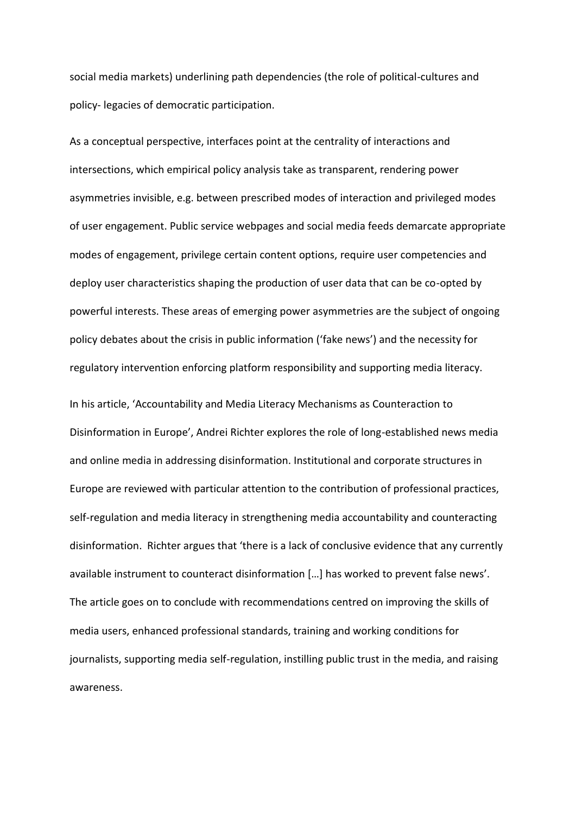social media markets) underlining path dependencies (the role of political-cultures and policy- legacies of democratic participation.

As a conceptual perspective, interfaces point at the centrality of interactions and intersections, which empirical policy analysis take as transparent, rendering power asymmetries invisible, e.g. between prescribed modes of interaction and privileged modes of user engagement. Public service webpages and social media feeds demarcate appropriate modes of engagement, privilege certain content options, require user competencies and deploy user characteristics shaping the production of user data that can be co-opted by powerful interests. These areas of emerging power asymmetries are the subject of ongoing policy debates about the crisis in public information ('fake news') and the necessity for regulatory intervention enforcing platform responsibility and supporting media literacy.

In his article, 'Accountability and Media Literacy Mechanisms as Counteraction to Disinformation in Europe', Andrei Richter explores the role of long-established news media and online media in addressing disinformation. Institutional and corporate structures in Europe are reviewed with particular attention to the contribution of professional practices, self-regulation and media literacy in strengthening media accountability and counteracting disinformation. Richter argues that 'there is a lack of conclusive evidence that any currently available instrument to counteract disinformation […] has worked to prevent false news'. The article goes on to conclude with recommendations centred on improving the skills of media users, enhanced professional standards, training and working conditions for journalists, supporting media self-regulation, instilling public trust in the media, and raising awareness.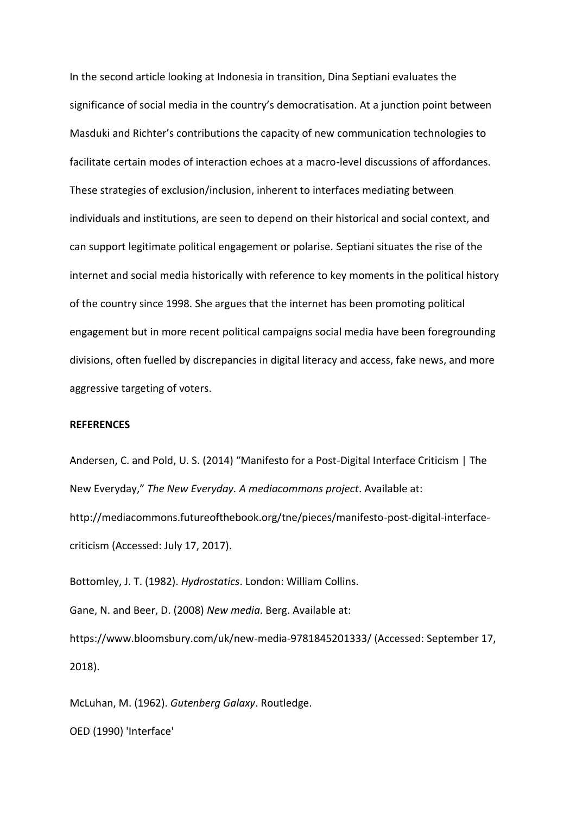In the second article looking at Indonesia in transition, Dina Septiani evaluates the significance of social media in the country's democratisation. At a junction point between Masduki and Richter's contributions the capacity of new communication technologies to facilitate certain modes of interaction echoes at a macro-level discussions of affordances. These strategies of exclusion/inclusion, inherent to interfaces mediating between individuals and institutions, are seen to depend on their historical and social context, and can support legitimate political engagement or polarise. Septiani situates the rise of the internet and social media historically with reference to key moments in the political history of the country since 1998. She argues that the internet has been promoting political engagement but in more recent political campaigns social media have been foregrounding divisions, often fuelled by discrepancies in digital literacy and access, fake news, and more aggressive targeting of voters.

#### **REFERENCES**

Andersen, C. and Pold, U. S. (2014) "Manifesto for a Post-Digital Interface Criticism | The New Everyday," *The New Everyday. A mediacommons project*. Available at: http://mediacommons.futureofthebook.org/tne/pieces/manifesto-post-digital-interfacecriticism (Accessed: July 17, 2017).

Bottomley, J. T. (1982). *Hydrostatics*. London: William Collins.

Gane, N. and Beer, D. (2008) *New media*. Berg. Available at:

https://www.bloomsbury.com/uk/new-media-9781845201333/ (Accessed: September 17, 2018).

McLuhan, M. (1962). *Gutenberg Galaxy*. Routledge.

OED (1990) 'Interface'